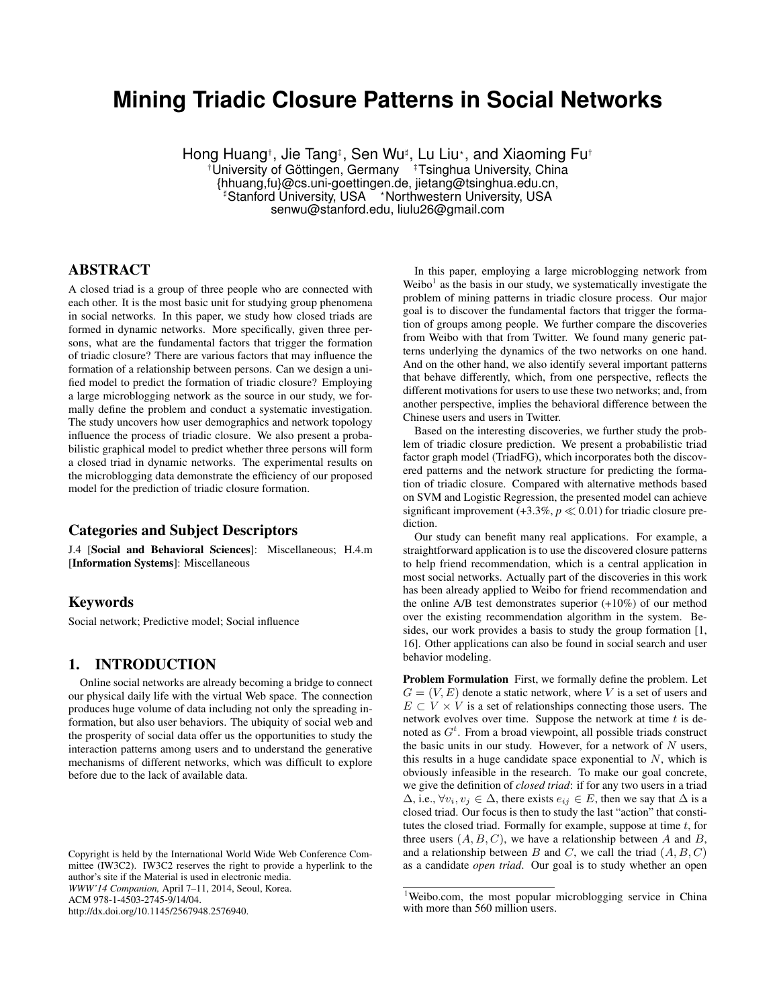# **Mining Triadic Closure Patterns in Social Networks**

Hong Huang†, Jie Tang‡, Sen Wu‡, Lu Liu\*, and Xiaoming Fu† <sup>†</sup>University of Göttingen, Germany <sup>‡</sup>Tsinghua University, China {hhuang,fu}@cs.uni-goettingen.de, jietang@tsinghua.edu.cn, <sup>#</sup>Stanford University, USA \*Northwestern University, USA senwu@stanford.edu, liulu26@gmail.com

# ABSTRACT

A closed triad is a group of three people who are connected with each other. It is the most basic unit for studying group phenomena in social networks. In this paper, we study how closed triads are formed in dynamic networks. More specifically, given three persons, what are the fundamental factors that trigger the formation of triadic closure? There are various factors that may influence the formation of a relationship between persons. Can we design a unified model to predict the formation of triadic closure? Employing a large microblogging network as the source in our study, we formally define the problem and conduct a systematic investigation. The study uncovers how user demographics and network topology influence the process of triadic closure. We also present a probabilistic graphical model to predict whether three persons will form a closed triad in dynamic networks. The experimental results on the microblogging data demonstrate the efficiency of our proposed model for the prediction of triadic closure formation.

#### Categories and Subject Descriptors

J.4 [Social and Behavioral Sciences]: Miscellaneous; H.4.m [Information Systems]: Miscellaneous

## Keywords

Social network; Predictive model; Social influence

# 1. INTRODUCTION

Online social networks are already becoming a bridge to connect our physical daily life with the virtual Web space. The connection produces huge volume of data including not only the spreading information, but also user behaviors. The ubiquity of social web and the prosperity of social data offer us the opportunities to study the interaction patterns among users and to understand the generative mechanisms of different networks, which was difficult to explore before due to the lack of available data.

In this paper, employing a large microblogging network from Weibo<sup>1</sup> as the basis in our study, we systematically investigate the problem of mining patterns in triadic closure process. Our major goal is to discover the fundamental factors that trigger the formation of groups among people. We further compare the discoveries from Weibo with that from Twitter. We found many generic patterns underlying the dynamics of the two networks on one hand. And on the other hand, we also identify several important patterns that behave differently, which, from one perspective, reflects the different motivations for users to use these two networks; and, from another perspective, implies the behavioral difference between the Chinese users and users in Twitter.

Based on the interesting discoveries, we further study the problem of triadic closure prediction. We present a probabilistic triad factor graph model (TriadFG), which incorporates both the discovered patterns and the network structure for predicting the formation of triadic closure. Compared with alternative methods based on SVM and Logistic Regression, the presented model can achieve significant improvement  $(+3.3\%, p \ll 0.01)$  for triadic closure prediction.

Our study can benefit many real applications. For example, a straightforward application is to use the discovered closure patterns to help friend recommendation, which is a central application in most social networks. Actually part of the discoveries in this work has been already applied to Weibo for friend recommendation and the online A/B test demonstrates superior (+10%) of our method over the existing recommendation algorithm in the system. Besides, our work provides a basis to study the group formation [1, 16]. Other applications can also be found in social search and user behavior modeling.

Problem Formulation First, we formally define the problem. Let  $G = (V, E)$  denote a static network, where V is a set of users and  $E \subset V \times V$  is a set of relationships connecting those users. The network evolves over time. Suppose the network at time  $t$  is denoted as  $G^t$ . From a broad viewpoint, all possible triads construct the basic units in our study. However, for a network of  $N$  users, this results in a huge candidate space exponential to  $N$ , which is obviously infeasible in the research. To make our goal concrete, we give the definition of *closed triad*: if for any two users in a triad  $\Delta$ , i.e.,  $\forall v_i, v_j \in \Delta$ , there exists  $e_{ij} \in E$ , then we say that  $\Delta$  is a closed triad. Our focus is then to study the last "action" that constitutes the closed triad. Formally for example, suppose at time  $t$ , for three users  $(A, B, C)$ , we have a relationship between A and B, and a relationship between  $B$  and  $C$ , we call the triad  $(A, B, C)$ as a candidate *open triad*. Our goal is to study whether an open

Copyright is held by the International World Wide Web Conference Committee (IW3C2). IW3C2 reserves the right to provide a hyperlink to the author's site if the Material is used in electronic media. *WWW'14 Companion,* April 7–11, 2014, Seoul, Korea. ACM 978-1-4503-2745-9/14/04. http://dx.doi.org/10.1145/2567948.2576940.

<sup>&</sup>lt;sup>1</sup>Weibo.com, the most popular microblogging service in China with more than 560 million users.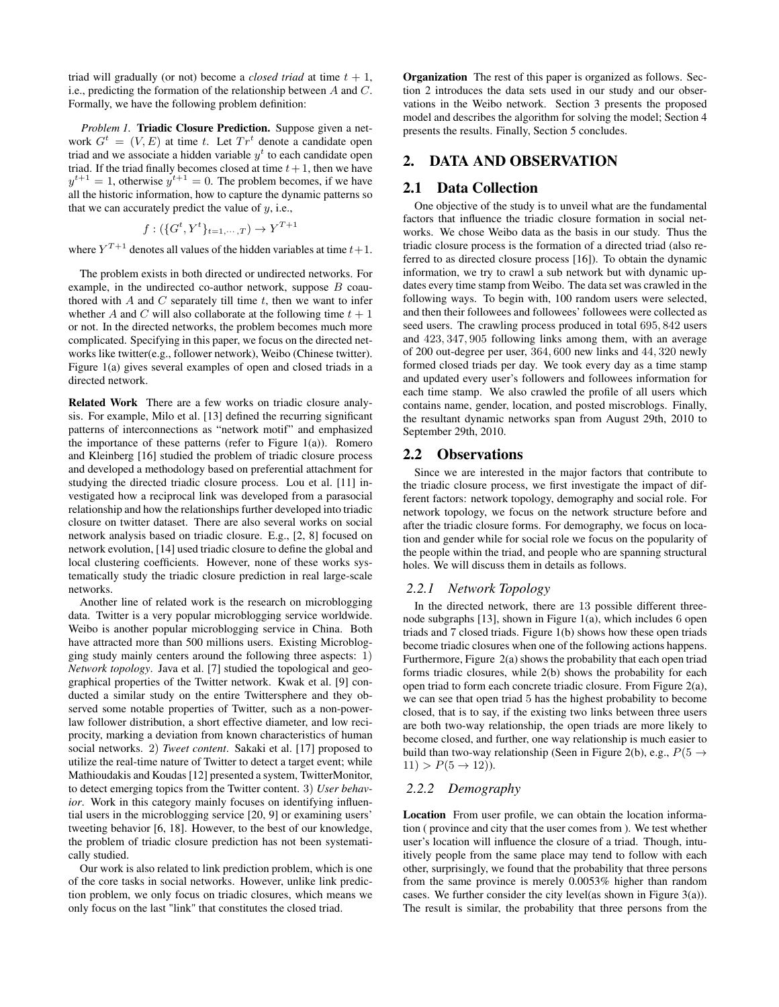triad will gradually (or not) become a *closed triad* at time  $t + 1$ , i.e., predicting the formation of the relationship between A and C. Formally, we have the following problem definition:

*Problem 1.* **Triadic Closure Prediction.** Suppose given a network  $G^t = (V, E)$  at time t. Let  $Tr^t$  denote a candidate open triad and we associate a hidden variable  $y<sup>t</sup>$  to each candidate open triad. If the triad finally becomes closed at time  $t + 1$ , then we have  $y^{t+1} = 1$ , otherwise  $y^{t+1} = 0$ . The problem becomes, if we have all the historic information, how to capture the dynamic patterns so that we can accurately predict the value of  $y$ , i.e.,

$$
f: (\{G^t, Y^t\}_{t=1,\cdots,T}) \to Y^{T+1}
$$

where  $Y^{T+1}$  denotes all values of the hidden variables at time  $t+1$ .

The problem exists in both directed or undirected networks. For example, in the undirected co-author network, suppose B coauthored with  $A$  and  $C$  separately till time  $t$ , then we want to infer whether A and C will also collaborate at the following time  $t + 1$ or not. In the directed networks, the problem becomes much more complicated. Specifying in this paper, we focus on the directed networks like twitter(e.g., follower network), Weibo (Chinese twitter). Figure 1(a) gives several examples of open and closed triads in a directed network.

Related Work There are a few works on triadic closure analysis. For example, Milo et al. [13] defined the recurring significant patterns of interconnections as "network motif" and emphasized the importance of these patterns (refer to Figure 1(a)). Romero and Kleinberg [16] studied the problem of triadic closure process and developed a methodology based on preferential attachment for studying the directed triadic closure process. Lou et al. [11] investigated how a reciprocal link was developed from a parasocial relationship and how the relationships further developed into triadic closure on twitter dataset. There are also several works on social network analysis based on triadic closure. E.g., [2, 8] focused on network evolution, [14] used triadic closure to define the global and local clustering coefficients. However, none of these works systematically study the triadic closure prediction in real large-scale networks.

Another line of related work is the research on microblogging data. Twitter is a very popular microblogging service worldwide. Weibo is another popular microblogging service in China. Both have attracted more than 500 millions users. Existing Microblogging study mainly centers around the following three aspects: 1) *Network topology*. Java et al. [7] studied the topological and geographical properties of the Twitter network. Kwak et al. [9] conducted a similar study on the entire Twittersphere and they observed some notable properties of Twitter, such as a non-powerlaw follower distribution, a short effective diameter, and low reciprocity, marking a deviation from known characteristics of human social networks. 2) *Tweet content*. Sakaki et al. [17] proposed to utilize the real-time nature of Twitter to detect a target event; while Mathioudakis and Koudas [12] presented a system, TwitterMonitor, to detect emerging topics from the Twitter content. 3) *User behavior*. Work in this category mainly focuses on identifying influential users in the microblogging service [20, 9] or examining users' tweeting behavior [6, 18]. However, to the best of our knowledge, the problem of triadic closure prediction has not been systematically studied.

Our work is also related to link prediction problem, which is one of the core tasks in social networks. However, unlike link prediction problem, we only focus on triadic closures, which means we only focus on the last "link" that constitutes the closed triad.

Organization The rest of this paper is organized as follows. Section 2 introduces the data sets used in our study and our observations in the Weibo network. Section 3 presents the proposed model and describes the algorithm for solving the model; Section 4 presents the results. Finally, Section 5 concludes.

## 2. DATA AND OBSERVATION

#### 2.1 Data Collection

One objective of the study is to unveil what are the fundamental factors that influence the triadic closure formation in social networks. We chose Weibo data as the basis in our study. Thus the triadic closure process is the formation of a directed triad (also referred to as directed closure process [16]). To obtain the dynamic information, we try to crawl a sub network but with dynamic updates every time stamp from Weibo. The data set was crawled in the following ways. To begin with, 100 random users were selected, and then their followees and followees' followees were collected as seed users. The crawling process produced in total 695, 842 users and 423, 347, 905 following links among them, with an average of 200 out-degree per user, 364, 600 new links and 44, 320 newly formed closed triads per day. We took every day as a time stamp and updated every user's followers and followees information for each time stamp. We also crawled the profile of all users which contains name, gender, location, and posted miscroblogs. Finally, the resultant dynamic networks span from August 29th, 2010 to September 29th, 2010.

#### 2.2 Observations

Since we are interested in the major factors that contribute to the triadic closure process, we first investigate the impact of different factors: network topology, demography and social role. For network topology, we focus on the network structure before and after the triadic closure forms. For demography, we focus on location and gender while for social role we focus on the popularity of the people within the triad, and people who are spanning structural holes. We will discuss them in details as follows.

#### *2.2.1 Network Topology*

In the directed network, there are 13 possible different threenode subgraphs [13], shown in Figure 1(a), which includes 6 open triads and 7 closed triads. Figure 1(b) shows how these open triads become triadic closures when one of the following actions happens. Furthermore, Figure 2(a) shows the probability that each open triad forms triadic closures, while 2(b) shows the probability for each open triad to form each concrete triadic closure. From Figure 2(a), we can see that open triad 5 has the highest probability to become closed, that is to say, if the existing two links between three users are both two-way relationship, the open triads are more likely to become closed, and further, one way relationship is much easier to build than two-way relationship (Seen in Figure 2(b), e.g.,  $P(5 \rightarrow$  $11)$  >  $P(5 \rightarrow 12)$ ).

#### *2.2.2 Demography*

Location From user profile, we can obtain the location information ( province and city that the user comes from ). We test whether user's location will influence the closure of a triad. Though, intuitively people from the same place may tend to follow with each other, surprisingly, we found that the probability that three persons from the same province is merely 0.0053% higher than random cases. We further consider the city level(as shown in Figure 3(a)). The result is similar, the probability that three persons from the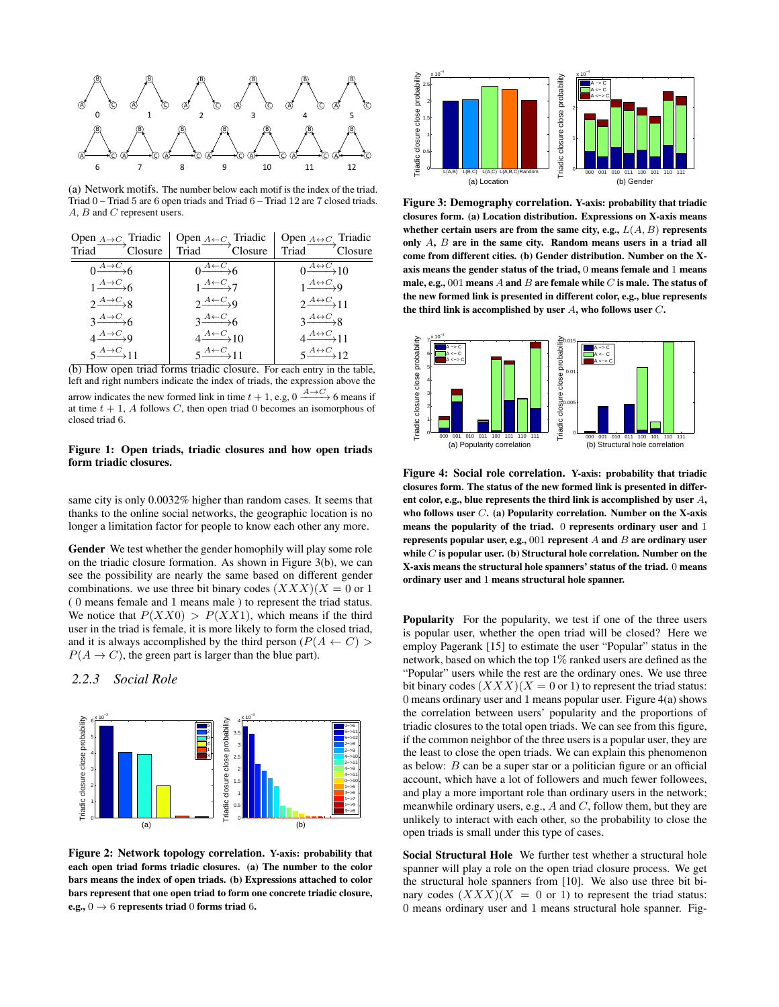

(a) Network motifs. The number below each motif is the index of the triad. Triad 0 – Triad 5 are 6 open triads and Triad 6 – Triad 12 are 7 closed triads. A, B and C represent users.

| Open $A \rightarrow C$ Triadic             | Open $A \leftarrow C$ Triadic           | Open $A \leftrightarrow C$ Triadic                  |
|--------------------------------------------|-----------------------------------------|-----------------------------------------------------|
| Closure<br>Triad                           | Triad Closure                           | Triad Closure                                       |
| $0 \rightarrow A \rightarrow C$            | $0 \xrightarrow{A \leftarrow C} 6$      | $\overline{0 \xrightarrow{A \leftrightarrow C}} 10$ |
| $1\frac{A\rightarrow C}{\longrightarrow}6$ | $1\frac{A\leftarrow C}{A\rightarrow 7}$ | $1\frac{A\leftrightarrow C}{\longrightarrow}9$      |
| $2\frac{A\rightarrow C}{A\rightarrow R}$   | $2\frac{A\leftarrow C}{A}$              | $2\frac{A\leftrightarrow C}{A}11$                   |
| $3 \xrightarrow{A \rightarrow C} 6$        | $3 \xrightarrow{A \leftarrow C} 6$      | $3 \xrightarrow{A \leftrightarrow C} 8$             |
| $4 \rightarrow C$                          | $4 \xrightarrow{A \leftarrow C} 10$     | $4 \xrightarrow{A \leftrightarrow C} 11$            |
| $5 \rightarrow{A \rightarrow C}$ 11        | $5 \xrightarrow{A \leftarrow C} 11$     | $5 \xrightarrow{A \leftrightarrow C} 12$            |



arrow indicates the new formed link in time  $t + 1$ , e.g,  $0 \xrightarrow{A \to C} 6$  means if at time  $t + 1$ , A follows C, then open triad 0 becomes an isomorphous of closed triad 6.

#### Figure 1: Open triads, triadic closures and how open triads form triadic closures.

same city is only 0.0032% higher than random cases. It seems that thanks to the online social networks, the geographic location is no longer a limitation factor for people to know each other any more.

Gender We test whether the gender homophily will play some role on the triadic closure formation. As shown in Figure 3(b), we can see the possibility are nearly the same based on different gender combinations. we use three bit binary codes  $(XXX)(X = 0 \text{ or } 1)$ ( 0 means female and 1 means male ) to represent the triad status. We notice that  $P(XX0) > P(XX1)$ , which means if the third user in the triad is female, it is more likely to form the closed triad, and it is always accomplished by the third person ( $P(A \leftarrow C)$ )  $P(A \rightarrow C)$ , the green part is larger than the blue part).

## *2.2.3 Social Role*



Figure 2: Network topology correlation. Y-axis: probability that each open triad forms triadic closures. (a) The number to the color bars means the index of open triads. (b) Expressions attached to color bars represent that one open triad to form one concrete triadic closure, e.g.,  $0 \rightarrow 6$  represents triad 0 forms triad 6.



Figure 3: Demography correlation. Y-axis: probability that triadic closures form. (a) Location distribution. Expressions on X-axis means whether certain users are from the same city, e.g.,  $L(A, B)$  represents only A, B are in the same city. Random means users in a triad all come from different cities. (b) Gender distribution. Number on the Xaxis means the gender status of the triad, 0 means female and 1 means male, e.g., 001 means  $A$  and  $B$  are female while  $C$  is male. The status of the new formed link is presented in different color, e.g., blue represents the third link is accomplished by user  $A$ , who follows user  $C$ .



Figure 4: Social role correlation. Y-axis: probability that triadic closures form. The status of the new formed link is presented in different color, e.g., blue represents the third link is accomplished by user A, who follows user  $C$ . (a) Popularity correlation. Number on the X-axis means the popularity of the triad. 0 represents ordinary user and 1 represents popular user, e.g., 001 represent  $A$  and  $B$  are ordinary user while  $C$  is popular user. (b) Structural hole correlation. Number on the X-axis means the structural hole spanners' status of the triad. 0 means ordinary user and 1 means structural hole spanner.

Popularity For the popularity, we test if one of the three users is popular user, whether the open triad will be closed? Here we employ Pagerank [15] to estimate the user "Popular" status in the network, based on which the top 1% ranked users are defined as the "Popular" users while the rest are the ordinary ones. We use three bit binary codes  $(XXX)(X = 0 \text{ or } 1)$  to represent the triad status: 0 means ordinary user and 1 means popular user. Figure 4(a) shows the correlation between users' popularity and the proportions of triadic closures to the total open triads. We can see from this figure, if the common neighbor of the three users is a popular user, they are the least to close the open triads. We can explain this phenomenon as below: B can be a super star or a politician figure or an official account, which have a lot of followers and much fewer followees, and play a more important role than ordinary users in the network; meanwhile ordinary users, e.g.,  $A$  and  $C$ , follow them, but they are unlikely to interact with each other, so the probability to close the open triads is small under this type of cases.

Social Structural Hole We further test whether a structural hole spanner will play a role on the open triad closure process. We get the structural hole spanners from [10]. We also use three bit binary codes  $(XXX)(X = 0 \text{ or } 1)$  to represent the triad status: 0 means ordinary user and 1 means structural hole spanner. Fig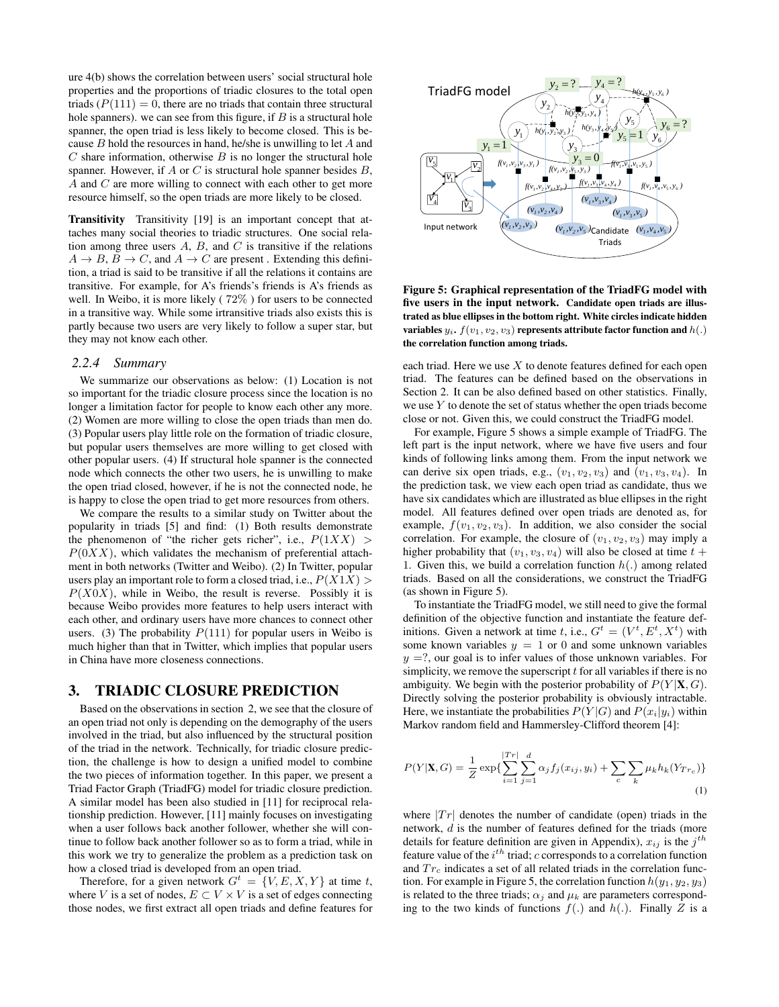ure 4(b) shows the correlation between users' social structural hole properties and the proportions of triadic closures to the total open triads  $(P(111) = 0$ , there are no triads that contain three structural hole spanners). we can see from this figure, if  $B$  is a structural hole spanner, the open triad is less likely to become closed. This is because  $B$  hold the resources in hand, he/she is unwilling to let  $A$  and  $C$  share information, otherwise  $B$  is no longer the structural hole spanner. However, if  $A$  or  $C$  is structural hole spanner besides  $B$ , A and C are more willing to connect with each other to get more resource himself, so the open triads are more likely to be closed.

Transitivity Transitivity [19] is an important concept that attaches many social theories to triadic structures. One social relation among three users  $A$ ,  $B$ , and  $C$  is transitive if the relations  $A \rightarrow B$ ,  $B \rightarrow C$ , and  $A \rightarrow C$  are present. Extending this definition, a triad is said to be transitive if all the relations it contains are transitive. For example, for A's friends's friends is A's friends as well. In Weibo, it is more likely ( 72% ) for users to be connected in a transitive way. While some irtransitive triads also exists this is partly because two users are very likely to follow a super star, but they may not know each other.

#### *2.2.4 Summary*

We summarize our observations as below: (1) Location is not so important for the triadic closure process since the location is no longer a limitation factor for people to know each other any more. (2) Women are more willing to close the open triads than men do. (3) Popular users play little role on the formation of triadic closure, but popular users themselves are more willing to get closed with other popular users. (4) If structural hole spanner is the connected node which connects the other two users, he is unwilling to make the open triad closed, however, if he is not the connected node, he is happy to close the open triad to get more resources from others.

We compare the results to a similar study on Twitter about the popularity in triads [5] and find: (1) Both results demonstrate the phenomenon of "the richer gets richer", i.e.,  $P(1XX)$  $P(0XX)$ , which validates the mechanism of preferential attachment in both networks (Twitter and Weibo). (2) In Twitter, popular users play an important role to form a closed triad, i.e.,  $P(X1X)$  $P(X0X)$ , while in Weibo, the result is reverse. Possibly it is because Weibo provides more features to help users interact with each other, and ordinary users have more chances to connect other users. (3) The probability  $P(111)$  for popular users in Weibo is much higher than that in Twitter, which implies that popular users in China have more closeness connections.

## 3. TRIADIC CLOSURE PREDICTION

Based on the observations in section 2, we see that the closure of an open triad not only is depending on the demography of the users involved in the triad, but also influenced by the structural position of the triad in the network. Technically, for triadic closure prediction, the challenge is how to design a unified model to combine the two pieces of information together. In this paper, we present a Triad Factor Graph (TriadFG) model for triadic closure prediction. A similar model has been also studied in [11] for reciprocal relationship prediction. However, [11] mainly focuses on investigating when a user follows back another follower, whether she will continue to follow back another follower so as to form a triad, while in this work we try to generalize the problem as a prediction task on how a closed triad is developed from an open triad.

Therefore, for a given network  $G^t = \{V, E, X, Y\}$  at time t, where V is a set of nodes,  $E \subset V \times V$  is a set of edges connecting those nodes, we first extract all open triads and define features for



Figure 5: Graphical representation of the TriadFG model with five users in the input network. Candidate open triads are illustrated as blue ellipses in the bottom right. White circles indicate hidden variables  $y_i$ .  $f(v_1, v_2, v_3)$  represents attribute factor function and  $h(.)$ the correlation function among triads.

each triad. Here we use  $X$  to denote features defined for each open triad. The features can be defined based on the observations in Section 2. It can be also defined based on other statistics. Finally, we use Y to denote the set of status whether the open triads become close or not. Given this, we could construct the TriadFG model.

For example, Figure 5 shows a simple example of TriadFG. The left part is the input network, where we have five users and four kinds of following links among them. From the input network we can derive six open triads, e.g.,  $(v_1, v_2, v_3)$  and  $(v_1, v_3, v_4)$ . In the prediction task, we view each open triad as candidate, thus we have six candidates which are illustrated as blue ellipses in the right model. All features defined over open triads are denoted as, for example,  $f(v_1, v_2, v_3)$ . In addition, we also consider the social correlation. For example, the closure of  $(v_1, v_2, v_3)$  may imply a higher probability that  $(v_1, v_3, v_4)$  will also be closed at time  $t +$ 1. Given this, we build a correlation function  $h(.)$  among related triads. Based on all the considerations, we construct the TriadFG (as shown in Figure 5).

To instantiate the TriadFG model, we still need to give the formal definition of the objective function and instantiate the feature definitions. Given a network at time t, i.e.,  $G^t = (V^t, E^t, X^t)$  with some known variables  $y = 1$  or 0 and some unknown variables  $y = ?$ , our goal is to infer values of those unknown variables. For simplicity, we remove the superscript  $t$  for all variables if there is no ambiguity. We begin with the posterior probability of  $P(Y | X, G)$ . Directly solving the posterior probability is obviously intractable. Here, we instantiate the probabilities  $P(Y|G)$  and  $P(x_i|y_i)$  within Markov random field and Hammersley-Clifford theorem [4]:

$$
P(Y|\mathbf{X}, G) = \frac{1}{Z} \exp\{\sum_{i=1}^{|T|} \sum_{j=1}^{d} \alpha_j f_j(x_{ij}, y_i) + \sum_c \sum_k \mu_k h_k(Y_{T r_c})\}
$$
(1)

where  $|Tr|$  denotes the number of candidate (open) triads in the network, d is the number of features defined for the triads (more details for feature definition are given in Appendix),  $x_{ij}$  is the  $j^{th}$ feature value of the  $i^{th}$  triad;  $c$  corresponds to a correlation function and  $Tr_c$  indicates a set of all related triads in the correlation function. For example in Figure 5, the correlation function  $h(y_1, y_2, y_3)$ is related to the three triads;  $\alpha_j$  and  $\mu_k$  are parameters corresponding to the two kinds of functions  $f(.)$  and  $h(.)$ . Finally Z is a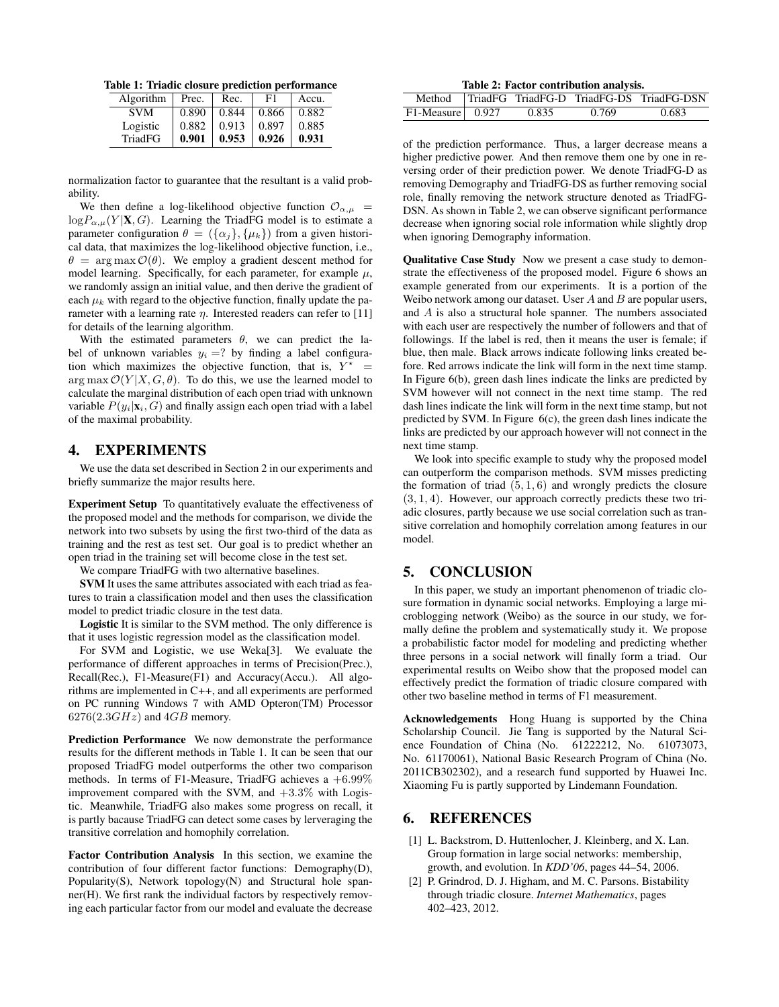Table 1: Triadic closure prediction performance

| Algorithm      | Prec. | Rec.  | F1    | Accu. |
|----------------|-------|-------|-------|-------|
| <b>SVM</b>     | 0.890 | 0.844 | 0.866 | 0.882 |
| Logistic       | 0.882 | 0.913 | 0.897 | 0.885 |
| <b>TriadFG</b> | 0.901 | 0.953 | 0.926 | 0.931 |

normalization factor to guarantee that the resultant is a valid probability.

We then define a log-likelihood objective function  $\mathcal{O}_{\alpha,\mu}$  =  $log P_{\alpha,\mu}(Y | \mathbf{X}, G)$ . Learning the TriadFG model is to estimate a parameter configuration  $\theta = (\{\alpha_j\}, \{\mu_k\})$  from a given historical data, that maximizes the log-likelihood objective function, i.e.,  $\theta = \arg \max \mathcal{O}(\theta)$ . We employ a gradient descent method for model learning. Specifically, for each parameter, for example  $\mu$ , we randomly assign an initial value, and then derive the gradient of each  $\mu_k$  with regard to the objective function, finally update the parameter with a learning rate  $\eta$ . Interested readers can refer to [11] for details of the learning algorithm.

With the estimated parameters  $\theta$ , we can predict the label of unknown variables  $y_i = ?$  by finding a label configuration which maximizes the objective function, that is,  $Y^*$  =  $\arg \max \mathcal{O}(Y | X, G, \theta)$ . To do this, we use the learned model to calculate the marginal distribution of each open triad with unknown variable  $P(y_i|\mathbf{x}_i, G)$  and finally assign each open triad with a label of the maximal probability.

#### 4. EXPERIMENTS

We use the data set described in Section 2 in our experiments and briefly summarize the major results here.

Experiment Setup To quantitatively evaluate the effectiveness of the proposed model and the methods for comparison, we divide the network into two subsets by using the first two-third of the data as training and the rest as test set. Our goal is to predict whether an open triad in the training set will become close in the test set.

We compare TriadFG with two alternative baselines.

SVM It uses the same attributes associated with each triad as features to train a classification model and then uses the classification model to predict triadic closure in the test data.

Logistic It is similar to the SVM method. The only difference is that it uses logistic regression model as the classification model.

For SVM and Logistic, we use Weka[3]. We evaluate the performance of different approaches in terms of Precision(Prec.), Recall(Rec.), F1-Measure(F1) and Accuracy(Accu.). All algorithms are implemented in C++, and all experiments are performed on PC running Windows 7 with AMD Opteron(TM) Processor  $6276(2.3GHz)$  and  $4GB$  memory.

Prediction Performance We now demonstrate the performance results for the different methods in Table 1. It can be seen that our proposed TriadFG model outperforms the other two comparison methods. In terms of F1-Measure, TriadFG achieves a  $+6.99\%$ improvement compared with the SVM, and  $+3.3\%$  with Logistic. Meanwhile, TriadFG also makes some progress on recall, it is partly bacause TriadFG can detect some cases by lerveraging the transitive correlation and homophily correlation.

Factor Contribution Analysis In this section, we examine the contribution of four different factor functions: Demography(D), Popularity(S), Network topology(N) and Structural hole spanner(H). We first rank the individual factors by respectively removing each particular factor from our model and evaluate the decrease

Table 2: Factor contribution analysis.

|                    |       |       | Method TriadFG TriadFG-D TriadFG-DS TriadFG-DSN |
|--------------------|-------|-------|-------------------------------------------------|
| $F1-Measure$ 0.927 | 0.835 | 0.769 | 0.683                                           |

of the prediction performance. Thus, a larger decrease means a higher predictive power. And then remove them one by one in reversing order of their prediction power. We denote TriadFG-D as removing Demography and TriadFG-DS as further removing social role, finally removing the network structure denoted as TriadFG-DSN. As shown in Table 2, we can observe significant performance decrease when ignoring social role information while slightly drop when ignoring Demography information.

Qualitative Case Study Now we present a case study to demonstrate the effectiveness of the proposed model. Figure 6 shows an example generated from our experiments. It is a portion of the Weibo network among our dataset. User  $A$  and  $B$  are popular users, and A is also a structural hole spanner. The numbers associated with each user are respectively the number of followers and that of followings. If the label is red, then it means the user is female; if blue, then male. Black arrows indicate following links created before. Red arrows indicate the link will form in the next time stamp. In Figure 6(b), green dash lines indicate the links are predicted by SVM however will not connect in the next time stamp. The red dash lines indicate the link will form in the next time stamp, but not predicted by SVM. In Figure 6(c), the green dash lines indicate the links are predicted by our approach however will not connect in the next time stamp.

We look into specific example to study why the proposed model can outperform the comparison methods. SVM misses predicting the formation of triad  $(5, 1, 6)$  and wrongly predicts the closure  $(3, 1, 4)$ . However, our approach correctly predicts these two triadic closures, partly because we use social correlation such as transitive correlation and homophily correlation among features in our model.

### 5. CONCLUSION

In this paper, we study an important phenomenon of triadic closure formation in dynamic social networks. Employing a large microblogging network (Weibo) as the source in our study, we formally define the problem and systematically study it. We propose a probabilistic factor model for modeling and predicting whether three persons in a social network will finally form a triad. Our experimental results on Weibo show that the proposed model can effectively predict the formation of triadic closure compared with other two baseline method in terms of F1 measurement.

Acknowledgements Hong Huang is supported by the China Scholarship Council. Jie Tang is supported by the Natural Science Foundation of China (No. 61222212, No. 61073073, No. 61170061), National Basic Research Program of China (No. 2011CB302302), and a research fund supported by Huawei Inc. Xiaoming Fu is partly supported by Lindemann Foundation.

## 6. REFERENCES

- [1] L. Backstrom, D. Huttenlocher, J. Kleinberg, and X. Lan. Group formation in large social networks: membership, growth, and evolution. In *KDD'06*, pages 44–54, 2006.
- [2] P. Grindrod, D. J. Higham, and M. C. Parsons. Bistability through triadic closure. *Internet Mathematics*, pages 402–423, 2012.